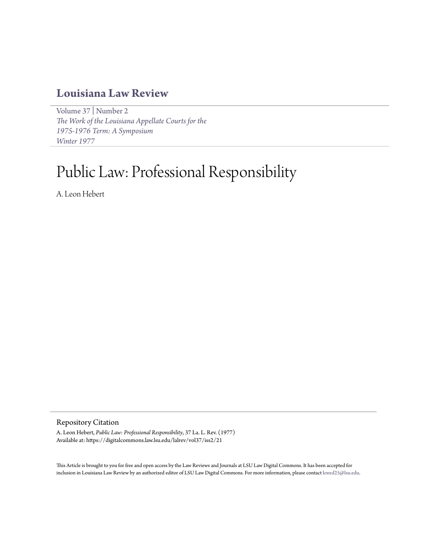## **[Louisiana Law Review](https://digitalcommons.law.lsu.edu/lalrev)**

[Volume 37](https://digitalcommons.law.lsu.edu/lalrev/vol37) | [Number 2](https://digitalcommons.law.lsu.edu/lalrev/vol37/iss2) *[The Work of the Louisiana Appellate Courts for the](https://digitalcommons.law.lsu.edu/lalrev/vol37/iss2) [1975-1976 Term: A Symposium](https://digitalcommons.law.lsu.edu/lalrev/vol37/iss2) [Winter 1977](https://digitalcommons.law.lsu.edu/lalrev/vol37/iss2)*

# Public Law: Professional Responsibility

A. Leon Hebert

Repository Citation

A. Leon Hebert, *Public Law: Professional Responsibility*, 37 La. L. Rev. (1977) Available at: https://digitalcommons.law.lsu.edu/lalrev/vol37/iss2/21

This Article is brought to you for free and open access by the Law Reviews and Journals at LSU Law Digital Commons. It has been accepted for inclusion in Louisiana Law Review by an authorized editor of LSU Law Digital Commons. For more information, please contact [kreed25@lsu.edu](mailto:kreed25@lsu.edu).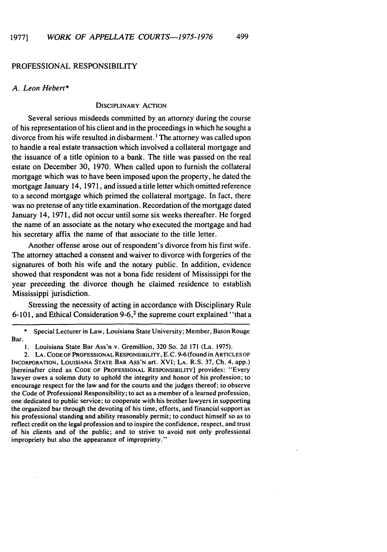#### PROFESSIONAL RESPONSIBILITY

#### A. Leon *Hebert\**

#### DISCIPLINARY ACTION

Several serious misdeeds committed by an attorney during the course of his representation of his client and in the proceedings in which he sought a divorce from his wife resulted in disbarment.<sup>1</sup> The attorney was called upon to handle a real estate transaction which involved a collateral mortgage and the issuance of a title opinion to a bank. The title was passed on the real estate on December 30, 1970. When called upon to furnish the collateral mortgage which was to have been imposed upon the property, he dated the mortgage January 14, 1971, and issued a title letter which omitted reference to a second mortgage which primed the collateral mortgage. In fact, there was no pretense of any title examination. Recordation of the mortgage dated January 14, 1971, did not occur until some six weeks thereafter. He forged the name of an associate as the notary who executed the mortgage and had his secretary affix the name of that associate to the title letter.

Another offense arose out of respondent's divorce from his first wife. The attorney attached a consent and waiver to divorce with forgeries of the signatures of both his wife and the notary public. In addition, evidence showed that respondent was not a bona fide resident of Mississippi for the year preceeding the divorce though he claimed residence to establish Mississippi jurisdiction.

Stressing the necessity of acting in accordance with Disciplinary Rule 6-101, and Ethical Consideration 9-6,<sup>2</sup> the supreme court explained "that a

Special Lecturer in Law, Louisiana State University; Member, Baton Rouge Bar.

2. **LA.** CODE OF PROFESSIONAL RESPONSIBILITY, E.C. 9-6 (found in ARTICLES OF INCORPORATION, LOUISIANA STATE BAR Ass'N art. XVI; **LA.** R.S. 37, Ch. 4, app.) [hereinafter cited as **CODE** OF PROFESSIONAL RESPONSIBILITY] provides: "Every lawyer owes a solemn duty to uphold the integrity and honor of his profession; to encourage respect for the law and for the courts and the judges thereof; to observe the Code of Professional Responsibility; to act as a member of a learned profession, one dedicated to public service; to cooperate with his brother lawyers in supporting the organized bar through the devoting of his time, efforts, and financial support as his professional standing and ability reasonably permit; to conduct himself so as to reflect credit on the legal profession and to inspire the confidence, respect, and trust of his clients and of the public; and to strive to avoid not only professional impropriety but also the appearance of impropriety."

<sup>1.</sup> Louisiana State Bar Ass'n v. Gremillion, 320 So. 2d 171 (La. 1975).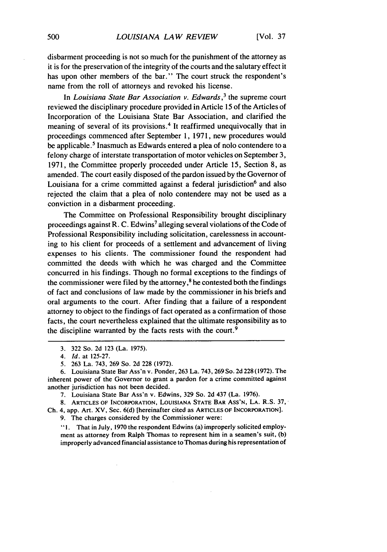disbarment proceeding is not so much for the punishment of the attorney as it is for the preservation of the integrity of the courts and the salutary effect it has upon other members of the bar." The court struck the respondent's name from the roll of attorneys and revoked his license.

In *Louisiana State Bar Association v. Edwards,3* the supreme court reviewed the disciplinary procedure provided in Article 15 of the Articles of Incorporation of the Louisiana State Bar Association, and clarified the meaning of several of its provisions. 4 It reaffirmed unequivocally that in proceedings commenced after September 1, 1971, new procedures would be applicable.<sup>5</sup> Inasmuch as Edwards entered a plea of nolo contendere to a felony charge of interstate transportation of motor vehicles on September 3, 1971, the Committee properly proceeded under Article 15, Section 8, as amended. The court easily disposed of the pardon issued by the Governor of Louisiana for a crime committed against a federal jurisdiction<sup>6</sup> and also rejected the claim that a plea of nolo contendere may not be used as a conviction in a disbarment proceeding.

The Committee on Professional Responsibility brought disciplinary proceedings against R. C. Edwins<sup>7</sup> alleging several violations of the Code of Professional Responsibility including solicitation, carelessness in accounting to his client for proceeds of a settlement and advancement of living expenses to his clients. The commissioner found the respondent had committed the deeds with which he was charged and the Committee concurred in his findings. Though no formal exceptions to the findings of the commissioner were filed by the attorney, $\frac{8}{3}$  he contested both the findings of fact and conclusions of law made by the commissioner in his briefs and oral arguments to the court. After finding that a failure of a respondent attorney to object to the findings of fact operated as a confirmation of those facts, the court nevertheless explained that the ultimate responsibility as to the discipline warranted by the facts rests with the court.<sup>9</sup>

9. The charges considered by the Commissioner were:

**"1.** That in July, 1970 the respondent Edwins (a) improperly solicited employment as attorney from Ralph Thomas to represent him in a seamen's suit, (b) improperly advanced financial assistance to Thomas during his representation of

<sup>3. 322</sup> So. 2d 123 (La. 1975).

*<sup>4.</sup> Id.* at 125-27.

<sup>5. 263</sup> La. 743, 269 So. 2d 228 (1972).

<sup>6.</sup> Louisiana State Bar Ass'n v. Ponder, 263 La. 743, 269So. 2d 228(1972). The inherent power of the Governor to grant a pardon for a crime committed against another jurisdiction has not been decided.

<sup>7.</sup> Louisiana State Bar Ass'n v. Edwins, 329 So. 2d 437 (La. 1976).

<sup>8.</sup> ARTICLES OF INCORPORATION, LOUISIANA **STATE** BAR Ass'N, **LA.** R.S. 37," Ch. 4, app. Art. XV, Sec. **6(d)** [hereinafter cited as **ARTICLES OF** INCORPORATION].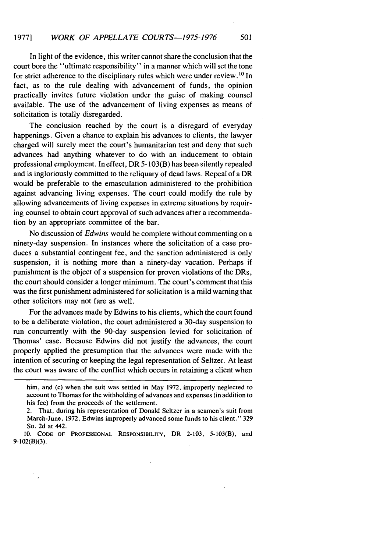In light of the evidence, this writer cannot share the conclusion that the court bore the "ultimate responsibility" in a manner which will set the tone for strict adherence to the disciplinary rules which were under review. **1 <sup>0</sup>**In fact, as to the rule dealing with advancement of funds, the opinion practically invites future violation under the guise of making counsel available. The use of the advancement of living expenses as means of solicitation is totally disregarded.

The conclusion reached by the court is a disregard of everyday happenings. Given a chance to explain his advances to clients, the lawyer charged will surely meet the court's humanitarian test and deny that such advances had anything whatever to do with an inducement to obtain professional employment. In effect, DR 5-103(B) has been silently repealed and is ingloriously committed to the reliquary of dead laws. Repeal of a DR would be preferable to the emasculation administered to the prohibition against advancing living expenses. The court could modify the rule by allowing advancements of living expenses in extreme situations by requiring counsel to obtain court approval of such advances after a recommendation by an appropriate committee of the bar.

No discussion of *Edwins* would be complete without commenting on a ninety-day suspension. In instances where the solicitation of a case produces a substantial contingent fee, and the sanction administered is only suspension, it is nothing more than a ninety-day vacation. Perhaps if punishment is the object of a suspension for proven violations of the DRs, the court should consider a longer minimum. The court's comment that this was the first punishment administered for solicitation is a mild warning that other solicitors may not fare as well.

For the advances made by Edwins to his clients, which the court found to be a deliberate violation, the court administered a 30-day suspension to run concurrently with the 90-day suspension levied for solicitation of Thomas' case. Because Edwins did not justify the advances, the court properly applied the presumption that the advances were made with the intention of securing or keeping the legal representation of Seltzer. At least the court was aware of the conflict which occurs in retaining a client when

him, and (c) when the suit was settled in May 1972, improperly neglected to account to Thomas for the withholding of advances and expenses (in addition to his fee) from the proceeds of the settlement.

<sup>2.</sup> That, during his representation of Donald Seltzer in a seamen's suit from March-June, 1972, Edwins improperly advanced some funds to his client." 329 So. 2d at 442.

**<sup>10.</sup> CODE** OF **PROFESSIONAL** RESPONSIBILITY, DR **2-103,** 5-103(B), and 9-102(B)(3).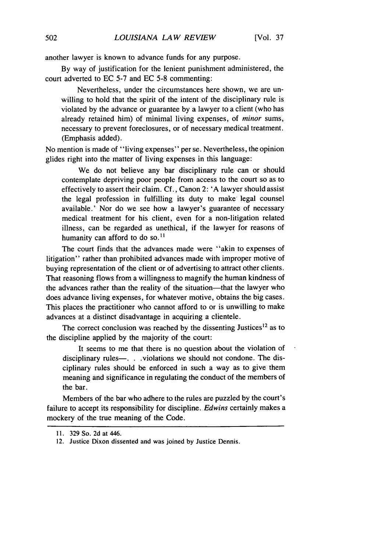[Vol. **37**

another lawyer is known to advance funds for any purpose.

By way of justification for the lenient punishment administered, the court adverted to EC 5-7 and EC 5-8 commenting:

Nevertheless, under the circumstances here shown, we are unwilling to hold that the spirit of the intent of the disciplinary rule is violated by the advance or guarantee by a lawyer to a client (who has already retained him) of minimal living expenses, of *minor* sums, necessary to prevent foreclosures, or of necessary medical treatment. (Emphasis added).

No mention is made of "living expenses" per se. Nevertheless, the opinion glides right into the matter of living expenses in this language:

We do not believe any bar disciplinary rule can or should contemplate depriving poor people from access to the court so as to effectively to assert their claim. Cf., Canon 2: 'A lawyer should assist the legal profession in fulfilling its duty to make legal counsel available.' Nor do we see how a lawyer's guarantee of necessary medical treatment for his client, even for a non-litigation related illness, can be regarded as unethical, if the lawyer for reasons of humanity can afford to do so.<sup>11</sup>

The court finds that the advances made were "akin to expenses of litigation" rather than prohibited advances made with improper motive of buying representation of the client or of advertising to attract other clients. That reasoning flows from a willingness to magnify the human kindness of the advances rather than the reality of the situation-that the lawyer who does advance living expenses, for whatever motive, obtains the big cases. This places the practitioner who cannot afford to or is unwilling to make advances at a distinct disadvantage in acquiring a clientele.

The correct conclusion was reached by the dissenting Justices<sup>12</sup> as to the discipline applied by the majority of the court:

It seems to me that there is no question about the violation of disciplinary rules-. . . . violations we should not condone. The disciplinary rules should be enforced in such a way as to give them meaning and significance in regulating the conduct of the members of the bar.

Members of the bar who adhere to the rules are puzzled by the court's failure to accept its responsibility for discipline. *Edwins* certainly makes a mockery of the true meaning of the Code.

<sup>11. 329</sup> So. 2d at 446.

<sup>12.</sup> Justice Dixon dissented and was joined by Justice Dennis.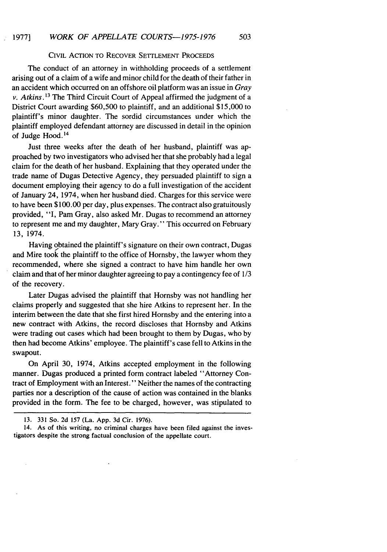#### CIVIL ACTION TO RECOVER SETTLEMENT PROCEEDS

The conduct of an attorney in withholding proceeds of a settlement arising out of a claim of a wife and minor child for the death of their father in an accident which occurred on an offshore oil platform was an issue in *Gray v. Atkins.<sup>13</sup>*The Third Circuit Court of Appeal affirmed the judgment of a District Court awarding \$60,500 to plaintiff, and an additional \$15,000 to plaintiff's minor daughter. The sordid circumstances under which the plaintiff employed defendant attorney are discussed in detail in the opinion of Judge Hood.<sup>14</sup>

Just three weeks after the death of her husband, plaintiff was approached by two investigators who advised her that she probably had a legal claim for the death of her husband. Explaining that they operated under the trade name of Dugas Detective Agency, they persuaded plaintiff to sign a document employing their agency to do a full investigation of the accident of January 24, 1974, when her husband died. Charges for this service were to have been \$100.00 per day, plus expenses. The contract also gratuitously provided, "I, Pam Gray, also asked Mr. Dugas to recommend an attorney to represent me and my daughter, Mary Gray." This occurred on February 13, 1974.

Having obtained the plaintiff's signature on their own contract, Dugas and Mire took the plaintiff to the office of Hornsby, the lawyer whom they recommended, where she signed a contract to have him handle her own claim and that of her minor daughter agreeing to pay a contingency fee of 1/3 of the recovery.

Later Dugas advised the plaintiff that Hornsby was not handling her claims properly and suggested that she hire Atkins to represent her. In the interim between the date that she first hired Hornsby and the entering into a new contract with Atkins, the record discloses that Hornsby and Atkins were trading out cases which had been brought to them by Dugas, who by then had become Atkins' employee. The plaintiff's case fell to Atkins in the swapout.

On April 30, 1974, Atkins accepted employment in the following manner. Dugas produced a printed form contract labeled "Attorney Contract of Employment with an Interest." Neither the names of the contracting parties nor a description of the cause of action was contained in the blanks provided in the form. The fee to be charged, however, was stipulated to

<sup>13. 331</sup> So. 2d 157 (La. App. 3d Cir. 1976).

<sup>14.</sup> As of this writing, no criminal charges have been filed against the investigators despite the strong factual conclusion of the appellate court.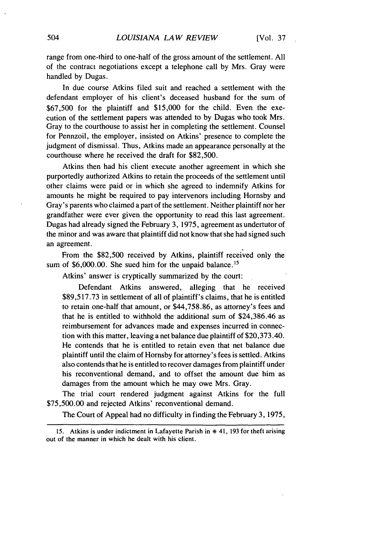range from one-third to one-half of the gross amount of the settlement. All of the contract negotiations except a telephone call by Mrs. Gray were handled by Dugas.

In due course Atkins filed suit and reached a settlement with the defendant employer of his client's deceased husband for the sum of \$67,500 for the plaintiff and \$15,000 for the child. Even the execution of the settlement papers was attended to by Dugas who took Mrs. Gray to the courthouse to assist her in completing the settlement. Counsel for Pennzoil, the employer, insisted on Atkins' presence to complete the judgment of dismissal. Thus, Atkins made an appearance personally at the courthouse where he received the draft for \$82,500.

Atkins then had his client execute another agreement in which she purportedly authorized Atkins to retain the proceeds of the settlement until other claims were paid or in which she agreed to indemnify Atkins for amounts he might be required to pay intervenors including Hornsby and Gray's parents who claimed a part of the settlement. Neither plaintiff nor her grandfather were ever given the opportunity to read this last agreement. Dugas had already signed the February 3, 1975, agreement as undertutor of the minor and was aware that plaintiff did not know that she had signed such an agreement.

From the \$82,500 received by Atkins, plaintiff received only the sum of \$6,000.00. She sued him for the unpaid balance.<sup>15</sup>

Atkins' answer is cryptically summarized by the court:

Defendant Atkins answered, alleging that he received \$89,517.73 in settlement of all of plaintiff's claims, that he is entitled to retain one-half that amount, or \$44,758.86, as attorney's fees and that he is entitled to withhold the additional sum of \$24,386.46 as reimbursement for advances made and expenses incurred in connection with this matter, leaving a net balance due plaintiff of \$20,373.40. He contends that he is entitled to retain even that net balance due plaintiff until the claim of Hornsby for attorney's fees is settled. Atkins also contends that he is entitled to recover damages from plaintiff under his reconventional demand, and to offset the amount due him as damages from the amount which he may owe Mrs. Gray.

The trial court rendered judgment against Atkins for the full \$75,500.00 and rejected Atkins' reconventional demand.

The Court of Appeal had no difficulty in finding the February 3, 1975,

<sup>15.</sup> Atkins is under indictment in Lafayette Parish in **\*** 41, 193 for theft arising out of the manner in which he dealt with his client.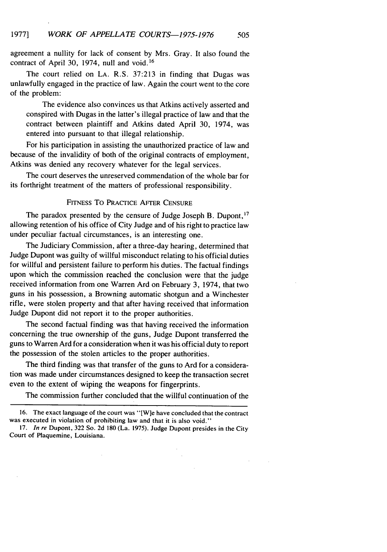agreement a nullity for lack of consent by Mrs. Gray. It also found the contract of April 30, 1974, null and void.<sup>16</sup>

The court relied on LA. R.S. 37:213 in finding that Dugas was unlawfully engaged in the practice of law. Again the court went to the core of the problem:

The evidence also convinces us that Atkins actively asserted and conspired with Dugas in the latter's illegal practice of law and that the contract between plaintiff and Atkins dated April 30, 1974, was entered into pursuant to that illegal relationship.

For his participation in assisting the unauthorized practice of law and because of the invalidity of both of the original contracts of employment, Atkins was denied any recovery whatever for the legal services.

The court deserves the unreserved commendation of the whole bar for its forthright treatment of the matters of professional responsibility.

#### FITNESS To PRACTICE AFTER CENSURE

The paradox presented by the censure of Judge Joseph B. Dupont, <sup>17</sup> allowing retention of his office of City Judge and of his right to practice law under peculiar factual circumstances, is an interesting one.

The Judiciary Commission, after a three-day hearing, determined that Judge Dupont was guilty of willful misconduct relating to his official duties for willful and persistent failure to perform his duties. The factual findings upon which the commission reached the conclusion were that the judge received information from one Warren Ard on February 3, 1974, that two guns in his possession, a Browning automatic shotgun and a Winchester rifle, were stolen property and that after having received that information Judge Dupont did not report it to the proper authorities.

The second factual finding was that having received the information concerning the true ownership of the guns, Judge Dupont transferred the guns to Warren Ard for a consideration when it was his official duty to report the possession of the stolen articles to the proper authorities.

The third finding was that transfer of the guns to Ard for a consideration was made under circumstances designed to keep the transaction secret even to the extent of wiping the weapons for fingerprints.

The commission further concluded that the willful continuation of the

<sup>16.</sup> The exact language of the court was "[W]e have concluded that the contract was executed in violation of prohibiting law and that it is also void."

<sup>17.</sup> *In re* Dupont, 322 So. 2d 180 (La. **1975).** Judge Dupont presides in the City Court of Plaquemine, Louisiana.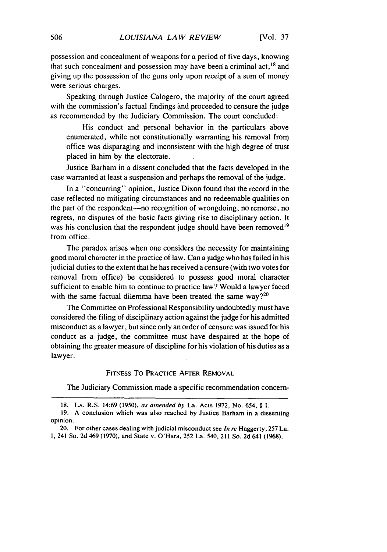possession and concealment of weapons for a period of five days, knowing that such concealment and possession may have been a criminal act,  $^{18}$  and giving up the possession of the guns only upon receipt of a sum of money were serious charges.

Speaking through Justice Calogero, the majority of the court agreed with the commission's factual findings and proceeded to censure the judge as recommended by the Judiciary Commission. The court concluded:

His conduct and personal behavior in the particulars above enumerated, while not constitutionally warranting his removal from office was disparaging and inconsistent with the high degree of trust placed in him by the electorate.

Justice Barham in a dissent concluded that the facts developed in the case warranted at least a suspension and perhaps the removal of the judge.

In a "concurring" opinion, Justice Dixon found that the record in the case reflected no mitigating circumstances and no redeemable qualities on the part of the respondent-no recognition of wrongdoing, no remorse, no regrets, no disputes of the basic facts giving rise to disciplinary action. It was his conclusion that the respondent judge should have been removed<sup>19</sup> from office.

The paradox arises when one considers the necessity for maintaining good moral character in the practice of law. Can a judge who has failed in his judicial duties to the extent that he has received a censure (with two votes for removal from office) be considered to possess good moral character sufficient to enable him to continue to practice law? Would a lawyer faced with the same factual dilemma have been treated the same way? $20$ 

The Committee on Professional Responsibility undoubtedly must have considered the filing of disciplinary action against the judge for his admitted misconduct as a lawyer, but since only an order of censure was issued for his conduct as a judge, the committee must have despaired at the hope of obtaining the greater measure of discipline for his violation of his duties as a lawyer.

#### FITNESS To PRACTICE AFTER REMOVAL

The Judiciary Commission made a specific recommendation concern-

**<sup>18.</sup> LA.** R.S. 14:69 (1950), as amended by La. Acts 1972, No. 654, § **1.**

<sup>19.</sup> A conclusion which was also reached by Justice Barham in a dissenting opinion.

<sup>20.</sup> For other cases dealing with judicial misconduct see In re Haggerty,  $257$  La. **1,** 241 So. 2d 469 (1970), and State *v.* O'Hara, 252 La. 540, 211 So. 2d 641 (1968).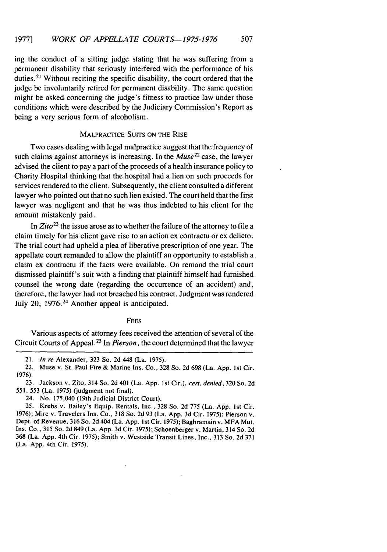ing the conduct of a sitting judge stating that he was suffering from a permanent disability that seriously interfered with the performance of his duties.<sup>21</sup> Without reciting the specific disability, the court ordered that the judge be involuntarily retired for permanent disability. The same question might be asked concerning the judge's fitness to practice law under those conditions which were described **by** the Judiciary Commission's Report as being a very serious form of alcoholism.

### MALPRACTICE **SUITS ON** THE RISE

Two cases dealing with legal malpractice suggest that the frequency of such claims against attorneys is increasing. In the *Muse<sup>22</sup>*case, the lawyer advised the client to pay a part of the proceeds of a health insurance policy to Charity Hospital thinking that the hospital had a lien on such proceeds for services rendered to the client. Subsequently, the client consulted a different lawyer who pointed out that no such lien existed. The court held that the first lawyer was negligent and that he was thus indebted to his client for the amount mistakenly paid.

In *Zito23* the issue arose as to whether the failure of the attorney to file a claim timely for his client gave rise to an action ex contractu or ex delicto. The trial court had upheld a plea of liberative prescription of one year. The appellate court remanded to allow the plaintiff an opportunity to establish a claim ex contractu if the facts were available. On remand the trial court dismissed plaintiff's suit with a finding that plaintiff himself had furnished counsel the wrong date (regarding the occurrence of an accident) and, therefore, the lawyer had not breached his contract. Judgment was rendered July 20, **1976.24** Another appeal is anticipated.

#### **FEES**

Various aspects of attorney fees received the attention of several of the Circuit Courts of Appeal **.25** In *Pierson,* the court determined that the lawyer

<sup>21.</sup> *In re* Alexander, **323** So. **2d** 448 (La. **1975).**

<sup>22.</sup> Muse v. St. Paul Fire **&** Marine Ins. Co., **328** So. **2d 698** (La. **App. Ist** Cir. **1976).**

**<sup>23.</sup>** Jackson v. Zito, 314 So. **2d** 401 (La. **App. 1st** Cir.), *cert. denied,* **320** So. **2d 551, 553** (La. **1975)** (judgment not final).

<sup>24.</sup> No. 175,040 (19th Judicial District Court).

**<sup>25.</sup>** Krebs v. Bailey's Equip. Rentals, Inc., **328** So. **2d 775** (La. **App. Ist** Cir. **1976);** Mire v. Travelers Ins. Co., **318** So. **2d 93** (La. **App. 3d** Cir. **1975);** Pierson v. Dept. of Revenue, **316** So. **2d** 404 (La. **App. I** st Cir. **1975);** Baghramain v. MFA Mut. Ins. Co., **315** So. **2d** 849 (La. **App. 3d** Cir. **1975);** Schoenberger v. Martin, 314 So. **2d 368** (La. **App.** 4th Cir. **1975);** Smith v. Westside Transit Lines, Inc., **313** So. **2d 371** (La. **App..** 4th Cir. **1975).**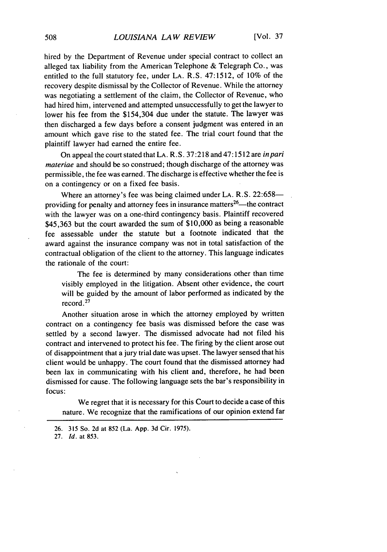hired by the Department of Revenue under special contract to collect an alleged tax liability from the American Telephone & Telegraph Co., was entitled to the full statutory fee, under LA. R.S. 47:1512, of 10% of the recovery despite dismissal by the Collector of Revenue. While the attorney was negotiating a settlement of the claim, the Collector of Revenue, who had hired him, intervened and attempted unsuccessfully to get the lawyer to lower his fee from the \$154,304 due under the statute. The lawyer was then discharged a few days before a consent judgment was entered in an amount which gave rise to the stated fee. The trial court found that the plaintiff lawyer had earned the entire fee.

On appeal the court stated that LA. R.S. 37:218 and 47:1512 are *inpari materiae* and should be so construed; though discharge of the attorney was permissible, the fee was earned. The discharge is effective whether the fee is on a contingency or on a fixed fee basis.

Where an attorney's fee was being claimed under LA. R.S. 22:658providing for penalty and attorney fees in insurance matters<sup>26</sup>—the contract with the lawyer was on a one-third contingency basis. Plaintiff recovered \$45,363 but the court awarded the sum of \$10,000 as being a reasonable fee assessable under the statute but a footnote indicated that the award against the insurance company was not in total satisfaction of the contractual obligation of the client to the attorney. This language indicates the rationale of the court:

The fee is determined by many considerations other than time visibly employed in the litigation. Absent other evidence, the court will be guided by the amount of labor performed as indicated by the record.27

Another situation arose in which the attorney employed by written contract on a contingency fee basis was dismissed before the case was settled by a second lawyer. The dismissed advocate had not filed his contract and intervened to protect his fee. The firing by the client arose out of disappointment that a jury trial date was upset. The lawyer sensed that his client would be unhappy. The court found that the dismissed attorney had been lax in communicating with his client and, therefore, he had been dismissed for cause. The following language sets the bar's responsibility in focus:

We regret that it is necessary for this Court to decide a case of this nature. We recognize that the ramifications of our opinion extend far

<sup>26. 315</sup> So. 2d at 852 (La. App. 3d Cir. 1975).

<sup>27.</sup> *Id.* at 853.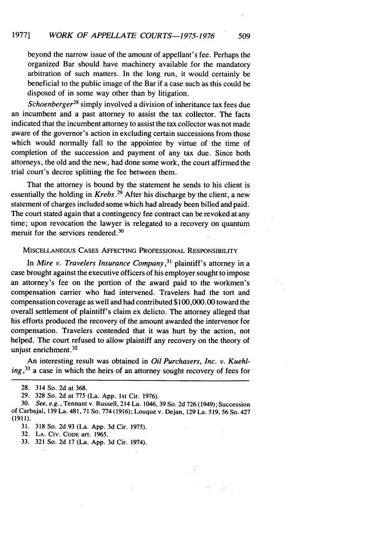beyond the narrow issue of the amount of appellant's fee. Perhaps the organized Bar should have machinery available for the mandatory arbitration of such matters. In the long run, it would certainly be beneficial to the public image of the Bar if a case such as this could be disposed of in some way other than by litigation.

*Schoenberger*<sup>28</sup> simply involved a division of inheritance tax fees due an incumbent and a past attorney to assist the tax collector. The facts indicated that the incumbent attorney to assist the tax collector was not made aware of the governor's action in excluding certain successions from those which would normally fall to the appointee by virtue of the time of completion of the succession and payment of any tax due. Since both attorneys, the old and the new, had done some work, the court affirmed the trial court's decree splitting the fee between them.

That the attorney is bound by the statement he sends to his client is essentially the holding in *Krebs.29* After his discharge by the client, a new statement of charges included some which had already been billed and paid. The court stated again that a contingency fee contract can be revoked at any time; upon revocation the lawyer is relegated to a recovery on quantum meruit for the services rendered. $30$ 

#### MISCELLANEOUS CASES AFFECTING PROFESSIONAL RESPONSIBILITY

In *Mire v. Travelers Insurance* Company, <sup>3</sup>*1* plaintiff's attorney in a case brought against the executive officers of his employer sought to impose an attorney's fee on the portion of the award paid to the workmen's compensation carrier who had intervened. Travelers had the tort and compensation coverage as well and had contributed \$100,000.00 toward the overall settlement of plaintiff's claim ex delicto. The attorney alleged that his efforts produced the recovery of the amount awarded the intervenor for compensation. Travelers contended that it was hurt by the action, not helped. The court refused to allow plaintiff any recovery on the theory of unjust enrichment. $32$ 

An interesting result was obtained in *Oil Purchasers, Inc. v. Kuehling, 33* a case in which the heirs of an attorney sought recovery of fees for

**31. 318** So. **2d 93** (La. App. **3d** Cir. 1975).

**32. LA.** CIv. CODE art. 1965.

**33. 321** So. **2d 17** (La. App. **3d** Cir. 1974).

<sup>28. 314</sup> So. 2d at 368.

<sup>29. 328</sup> So. 2d at 775 (La. App. Ist Cir. 1976).

<sup>30.</sup> *See, e.g.,* Tennant v. Russell, 214 La. 1046, 39 So. 2d 726 (1949); Succession of Carbajal, 139 La. 481,71 So. 774 (1916); Louque v. Dejan, 129 La. 519, 56 So. 427 (1911).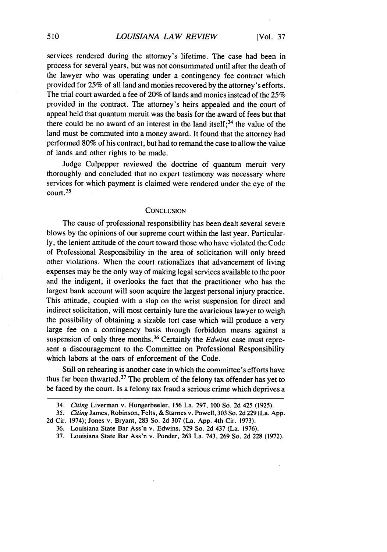services rendered during the attorney's lifetime. The case had been in process for several years, but was not consummated until after the death of the lawyer who was operating under a contingency fee contract which provided for 25% of all land and monies recovered by the attorney's efforts. The trial court awarded a fee of 20% of lands and monies instead of the 25% provided in the contract. The attorney's heirs appealed and the court of appeal held that quantum meruit was the basis for the award of fees but that there could be no award of an interest in the land itself;  $34$  the value of the land must be commuted into a money award. It found that the attorney had performed 80% of his contract, but had to remand the case to allow the value of lands and other rights to be made.

Judge Culpepper reviewed the doctrine of quantum meruit very thoroughly and concluded that no expert testimony was necessary where services for which payment is claimed were rendered under the eye of the court. 35

#### **CONCLUSION**

The cause of professional responsibility has been dealt several severe blows by the opinions of our supreme court within the last year. Particularly, the lenient attitude of the court toward those who have violated the Code of Professional Responsibility in the area of solicitation will only breed other violations. When the court rationalizes that advancement of living expenses may be the only way of making legal services available to the poor and the indigent, it overlooks the fact that the practitioner who has the largest bank account will soon acquire the largest personal injury practice. This attitude, coupled with a slap on the wrist suspension for direct and indirect solicitation, will most certainly lure the avaricious lawyer to weigh the possibility of obtaining a sizable tort case which will produce a very large fee on a contingency basis through forbidden means against a suspension of only three months.<sup>36</sup> Certainly the *Edwins* case must represent a discouragement to the Committee on Professional Responsibility which labors at the oars of enforcement of the Code.

Still on rehearing is another case in which the committee's efforts have thus far been thwarted. $37$  The problem of the felony tax offender has yet to be faced by the court. Is a felony tax fraud a serious crime which deprives a

<sup>34.</sup> *Citing* Liverman v. Hungerbeeler, 156 La. 297, 100 So. 2d 425 (1925).

<sup>35.</sup> *Citing* James, Robinson, Felts, & Starnes v. Powell, 303 So. 2d 229 (La. App.

<sup>2</sup>d Cir. 1974); Jones v. Bryant, 283 So. 2d 307 (La. App. 4th Cir. 1973).

<sup>36.</sup> Louisiana State Bar Ass'n v. Edwins, 329 So. 2d 437 (La. 1976).

<sup>37.</sup> Louisiana State Bar Ass'n v. Ponder, 263 La. 743, 269 So. 2d 228 (1972).